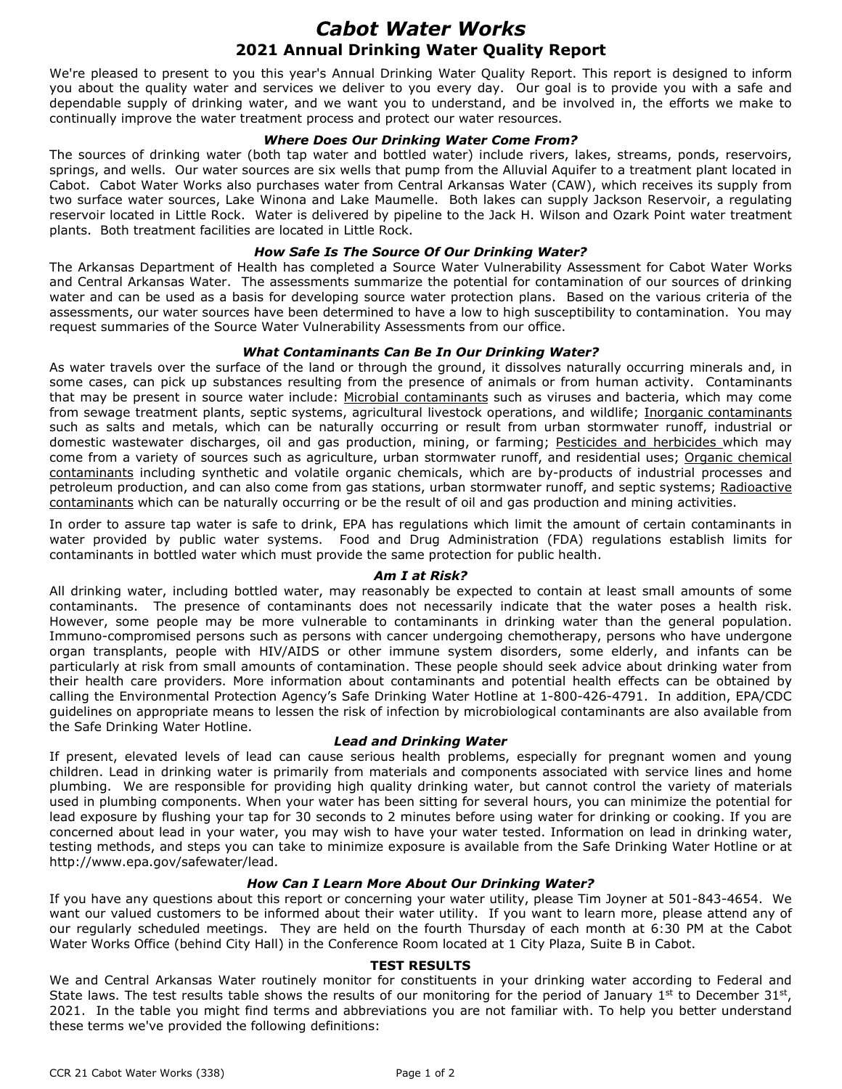# *Cabot Water Works* **2021 Annual Drinking Water Quality Report**

We're pleased to present to you this year's Annual Drinking Water Quality Report. This report is designed to inform you about the quality water and services we deliver to you every day. Our goal is to provide you with a safe and dependable supply of drinking water, and we want you to understand, and be involved in, the efforts we make to continually improve the water treatment process and protect our water resources.

## *Where Does Our Drinking Water Come From?*

The sources of drinking water (both tap water and bottled water) include rivers, lakes, streams, ponds, reservoirs, springs, and wells. Our water sources are six wells that pump from the Alluvial Aquifer to a treatment plant located in Cabot. Cabot Water Works also purchases water from Central Arkansas Water (CAW), which receives its supply from two surface water sources, Lake Winona and Lake Maumelle. Both lakes can supply Jackson Reservoir, a regulating reservoir located in Little Rock. Water is delivered by pipeline to the Jack H. Wilson and Ozark Point water treatment plants. Both treatment facilities are located in Little Rock.

## *How Safe Is The Source Of Our Drinking Water?*

The Arkansas Department of Health has completed a Source Water Vulnerability Assessment for Cabot Water Works and Central Arkansas Water. The assessments summarize the potential for contamination of our sources of drinking water and can be used as a basis for developing source water protection plans. Based on the various criteria of the assessments, our water sources have been determined to have a low to high susceptibility to contamination. You may request summaries of the Source Water Vulnerability Assessments from our office.

## *What Contaminants Can Be In Our Drinking Water?*

As water travels over the surface of the land or through the ground, it dissolves naturally occurring minerals and, in some cases, can pick up substances resulting from the presence of animals or from human activity. Contaminants that may be present in source water include: Microbial contaminants such as viruses and bacteria, which may come from sewage treatment plants, septic systems, agricultural livestock operations, and wildlife; Inorganic contaminants such as salts and metals, which can be naturally occurring or result from urban stormwater runoff, industrial or domestic wastewater discharges, oil and gas production, mining, or farming; Pesticides and herbicides which may come from a variety of sources such as agriculture, urban stormwater runoff, and residential uses; Organic chemical contaminants including synthetic and volatile organic chemicals, which are by-products of industrial processes and petroleum production, and can also come from gas stations, urban stormwater runoff, and septic systems; Radioactive contaminants which can be naturally occurring or be the result of oil and gas production and mining activities.

In order to assure tap water is safe to drink, EPA has regulations which limit the amount of certain contaminants in water provided by public water systems. Food and Drug Administration (FDA) regulations establish limits for contaminants in bottled water which must provide the same protection for public health.

#### *Am I at Risk?*

All drinking water, including bottled water, may reasonably be expected to contain at least small amounts of some contaminants. The presence of contaminants does not necessarily indicate that the water poses a health risk. However, some people may be more vulnerable to contaminants in drinking water than the general population. Immuno-compromised persons such as persons with cancer undergoing chemotherapy, persons who have undergone organ transplants, people with HIV/AIDS or other immune system disorders, some elderly, and infants can be particularly at risk from small amounts of contamination. These people should seek advice about drinking water from their health care providers. More information about contaminants and potential health effects can be obtained by calling the Environmental Protection Agency's Safe Drinking Water Hotline at 1-800-426-4791. In addition, EPA/CDC guidelines on appropriate means to lessen the risk of infection by microbiological contaminants are also available from the Safe Drinking Water Hotline.

#### *Lead and Drinking Water*

If present, elevated levels of lead can cause serious health problems, especially for pregnant women and young children. Lead in drinking water is primarily from materials and components associated with service lines and home plumbing. We are responsible for providing high quality drinking water, but cannot control the variety of materials used in plumbing components. When your water has been sitting for several hours, you can minimize the potential for lead exposure by flushing your tap for 30 seconds to 2 minutes before using water for drinking or cooking. If you are concerned about lead in your water, you may wish to have your water tested. Information on lead in drinking water, testing methods, and steps you can take to minimize exposure is available from the Safe Drinking Water Hotline or at http://www.epa.gov/safewater/lead.

#### *How Can I Learn More About Our Drinking Water?*

If you have any questions about this report or concerning your water utility, please Tim Joyner at 501-843-4654. We want our valued customers to be informed about their water utility. If you want to learn more, please attend any of our regularly scheduled meetings. They are held on the fourth Thursday of each month at 6:30 PM at the Cabot Water Works Office (behind City Hall) in the Conference Room located at 1 City Plaza, Suite B in Cabot.

#### **TEST RESULTS**

We and Central Arkansas Water routinely monitor for constituents in your drinking water according to Federal and State laws. The test results table shows the results of our monitoring for the period of January 1st to December 31st, 2021. In the table you might find terms and abbreviations you are not familiar with. To help you better understand these terms we've provided the following definitions: